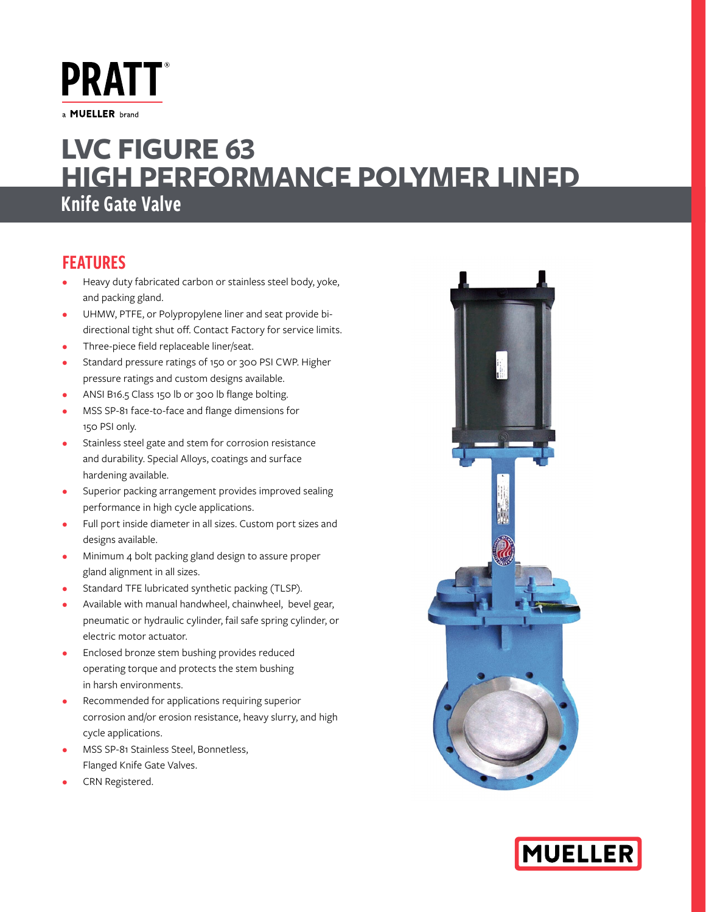**PRATT** a **MUELLER** brand

# Knife Gate Valve **LVC FIGURE 63 HIGH PERFORMANCE POLYMER LINED**

## FEATURES

- Heavy duty fabricated carbon or stainless steel body, yoke, and packing gland.
- UHMW, PTFE, or Polypropylene liner and seat provide bidirectional tight shut off. Contact Factory for service limits.
- Three-piece field replaceable liner/seat.
- Standard pressure ratings of 150 or 300 PSI CWP. Higher pressure ratings and custom designs available.
- ANSI B16.5 Class 150 lb or 300 lb flange bolting.
- MSS SP-81 face-to-face and flange dimensions for 150 PSI only.
- Stainless steel gate and stem for corrosion resistance and durability. Special Alloys, coatings and surface hardening available.
- Superior packing arrangement provides improved sealing performance in high cycle applications.
- Full port inside diameter in all sizes. Custom port sizes and designs available.
- Minimum 4 bolt packing gland design to assure proper gland alignment in all sizes.
- Standard TFE lubricated synthetic packing (TLSP).
- Available with manual handwheel, chainwheel, bevel gear, pneumatic or hydraulic cylinder, fail safe spring cylinder, or electric motor actuator.
- Enclosed bronze stem bushing provides reduced operating torque and protects the stem bushing in harsh environments.
- Recommended for applications requiring superior corrosion and/or erosion resistance, heavy slurry, and high cycle applications.
- MSS SP-81 Stainless Steel, Bonnetless, Flanged Knife Gate Valves.
- CRN Registered.